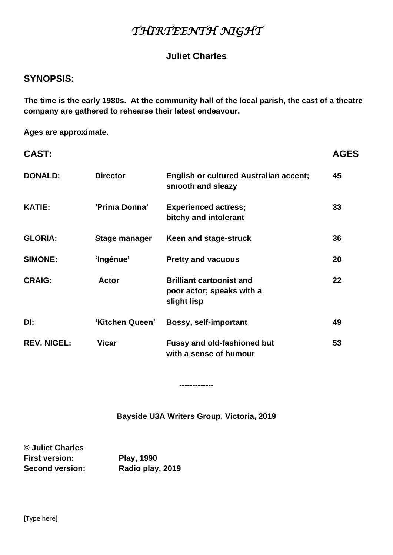# *THIRTEENTH NIGHT*

# **Juliet Charles**

# **SYNOPSIS:**

**The time is the early 1980s. At the community hall of the local parish, the cast of a theatre company are gathered to rehearse their latest endeavour.**

**Ages are approximate.**

| <b>CAST:</b>       |                 |                                                                             | <b>AGES</b> |
|--------------------|-----------------|-----------------------------------------------------------------------------|-------------|
| <b>DONALD:</b>     | <b>Director</b> | <b>English or cultured Australian accent;</b><br>smooth and sleazy          | 45          |
| <b>KATIE:</b>      | 'Prima Donna'   | <b>Experienced actress;</b><br>bitchy and intolerant                        | 33          |
| <b>GLORIA:</b>     | Stage manager   | Keen and stage-struck                                                       | 36          |
| <b>SIMONE:</b>     | 'Ingénue'       | <b>Pretty and vacuous</b>                                                   | 20          |
| <b>CRAIG:</b>      | <b>Actor</b>    | <b>Brilliant cartoonist and</b><br>poor actor; speaks with a<br>slight lisp | 22          |
| DI:                | 'Kitchen Queen' | <b>Bossy, self-important</b>                                                | 49          |
| <b>REV. NIGEL:</b> | <b>Vicar</b>    | <b>Fussy and old-fashioned but</b><br>with a sense of humour                | 53          |

**Bayside U3A Writers Group, Victoria, 2019**

**-------------**

**© Juliet Charles First version: Play, 1990 Second version: Radio play, 2019**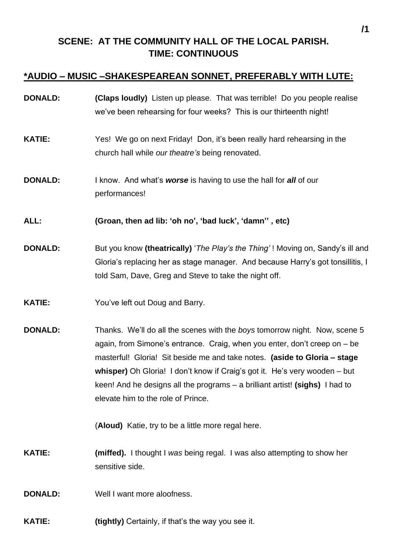# **SCENE: AT THE COMMUNITY HALL OF THE LOCAL PARISH. TIME: CONTINUOUS**

# **\*AUDIO – MUSIC –SHAKESPEAREAN SONNET, PREFERABLY WITH LUTE:**

- **DONALD: (Claps loudly)** Listen up please. That was terrible! Do you people realise we've been rehearsing for four weeks? This is our thirteenth night!
- **KATIE:** Yes! We go on next Friday! Don, it's been really hard rehearsing in the church hall while *our theatre's* being renovated.
- **DONALD:** I know. And what's **worse** is having to use the hall for **all** of our performances!
- **ALL: (Groan, then ad lib: 'oh no', 'bad luck', 'damn'' , etc)**
- **DONALD:** But you know **(theatrically)** '*The Play's the Thing'* ! Moving on, Sandy's ill and Gloria's replacing her as stage manager. And because Harry's got tonsillitis, I told Sam, Dave, Greg and Steve to take the night off.
- **KATIE:** You've left out Doug and Barry.
- **DONALD:** Thanks. We'll do all the scenes with the *boys* tomorrow night. Now, scene 5 again, from Simone's entrance. Craig, when you enter, don't creep on – be masterful! Gloria! Sit beside me and take notes. **(aside to Gloria – stage whisper)** Oh Gloria! I don't know if Craig's got it. He's very wooden – but keen! And he designs all the programs – a brilliant artist! **(sighs)** I had to elevate him to the role of Prince.

(**Aloud)** Katie, try to be a little more regal here.

**KATIE: (miffed).** I thought I *was* being regal. I was also attempting to show her sensitive side.

**DONALD:** Well I want more aloofness.

**KATIE:** (tightly) Certainly, if that's the way you see it.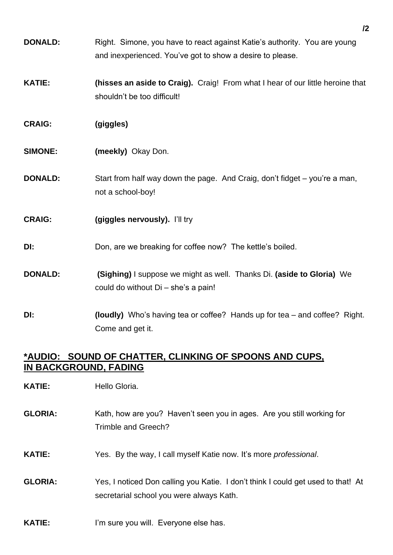- **DONALD:** Right. Simone, you have to react against Katie's authority. You are young and inexperienced. You've got to show a desire to please.
- **KATIE: (hisses an aside to Craig).** Craig! From what I hear of our little heroine that shouldn't be too difficult!
- **CRAIG: (giggles)**
- **SIMONE:** (meekly) Okay Don.
- **DONALD:** Start from half way down the page. And Craig, don't fidget you're a man, not a school-boy!
- **CRAIG: (giggles nervously).** I'll try
- **DI:** Don, are we breaking for coffee now? The kettle's boiled.
- **DONALD: (Sighing)** I suppose we might as well. Thanks Di. **(aside to Gloria)** We could do without Di – she's a pain!
- **DI: (loudly)** Who's having tea or coffee? Hands up for tea and coffee? Right. Come and get it.

# **\*AUDIO: SOUND OF CHATTER, CLINKING OF SPOONS AND CUPS, IN BACKGROUND, FADING**

- **KATIE:** Hello Gloria.
- **GLORIA:** Kath, how are you? Haven't seen you in ages. Are you still working for Trimble and Greech?
- **KATIE:** Yes. By the way, I call myself Katie now. It's more *professional*.
- **GLORIA:** Yes, I noticed Don calling you Katie. I don't think I could get used to that! At secretarial school you were always Kath.
- **KATIE:** I'm sure you will. Everyone else has.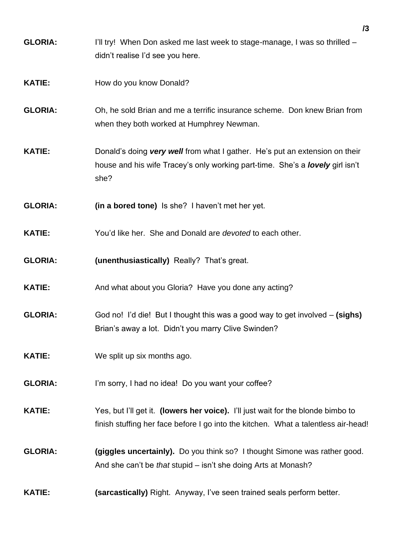- **GLORIA:** I'll try! When Don asked me last week to stage-manage, I was so thrilled didn't realise I'd see you here.
- **KATIE:** How do you know Donald?
- **GLORIA:** Oh, he sold Brian and me a terrific insurance scheme. Don knew Brian from when they both worked at Humphrey Newman.
- **KATIE:** Donald's doing *very well* from what I gather. He's put an extension on their house and his wife Tracey's only working part-time. She's a *lovely* girl isn't she?
- **GLORIA: (in a bored tone)** Is she? I haven't met her yet.
- **KATIE:** You'd like her. She and Donald are *devoted* to each other.
- **GLORIA: (unenthusiastically)** Really? That's great.
- **KATIE:** And what about you Gloria? Have you done any acting?
- **GLORIA:** God no! I'd die! But I thought this was a good way to get involved **(sighs)** Brian's away a lot. Didn't you marry Clive Swinden?
- **KATIE:** We split up six months ago.
- **GLORIA:** I'm sorry, I had no idea! Do you want your coffee?
- **KATIE:** Yes, but I'll get it. **(lowers her voice).** I'll just wait for the blonde bimbo to finish stuffing her face before I go into the kitchen. What a talentless air-head!
- **GLORIA: (giggles uncertainly).** Do you think so? I thought Simone was rather good. And she can't be *that* stupid – isn't she doing Arts at Monash?
- **KATIE: (sarcastically)** Right. Anyway, I've seen trained seals perform better.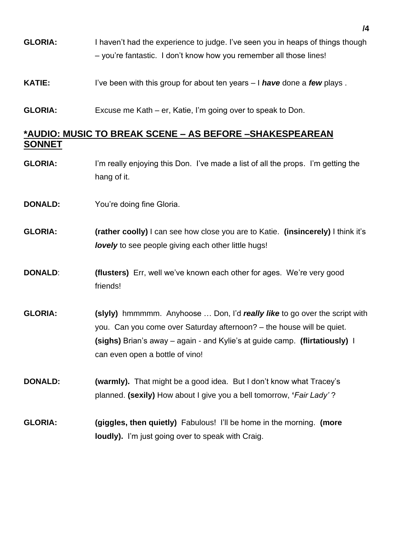- **GLORIA:** I haven't had the experience to judge. I've seen you in heaps of things though – you're fantastic. I don't know how you remember all those lines!
- **KATIE:** I've been with this group for about ten years I **have** done a *few* plays.
- **GLORIA:** Excuse me Kath er, Katie, I'm going over to speak to Don.

# **\*AUDIO: MUSIC TO BREAK SCENE – AS BEFORE –SHAKESPEAREAN SONNET**

- **GLORIA:** I'm really enjoying this Don. I've made a list of all the props. I'm getting the hang of it.
- **DONALD:** You're doing fine Gloria.
- **GLORIA: (rather coolly)** I can see how close you are to Katie. **(insincerely)** I think it's *lovely* to see people giving each other little hugs!
- **DONALD: (flusters)** Err, well we've known each other for ages. We're very good friends!
- **GLORIA: (slyly)** hmmmmm. Anyhoose … Don, I'd *really like* to go over the script with you. Can you come over Saturday afternoon? – the house will be quiet. **(sighs)** Brian's away – again - and Kylie's at guide camp. **(flirtatiously)** I can even open a bottle of vino!
- **DONALD: (warmly).** That might be a good idea. But I don't know what Tracey's planned. **(sexily)** How about I give you a bell tomorrow, **'***Fair Lady'* ?
- **GLORIA: (giggles, then quietly)** Fabulous! I'll be home in the morning. **(more loudly).** I'm just going over to speak with Craig.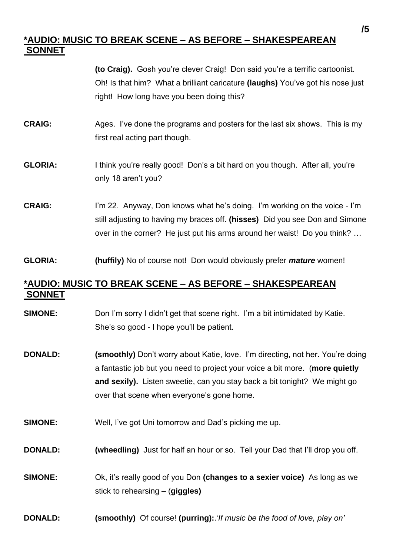# **\*AUDIO: MUSIC TO BREAK SCENE – AS BEFORE – SHAKESPEAREAN SONNET**

**(to Craig).** Gosh you're clever Craig! Don said you're a terrific cartoonist. Oh! Is that him? What a brilliant caricature **(laughs)** You've got his nose just right! How long have you been doing this?

- **CRAIG:** Ages. I've done the programs and posters for the last six shows. This is my first real acting part though.
- **GLORIA:** I think you're really good! Don's a bit hard on you though. After all, you're only 18 aren't you?
- **CRAIG:** I'm 22. Anyway, Don knows what he's doing. I'm working on the voice I'm still adjusting to having my braces off. **(hisses)** Did you see Don and Simone over in the corner? He just put his arms around her waist! Do you think? …
- **GLORIA: (huffily)** No of course not! Don would obviously prefer *mature* women!

# **\*AUDIO: MUSIC TO BREAK SCENE – AS BEFORE – SHAKESPEAREAN SONNET**

- **SIMONE:** Don I'm sorry I didn't get that scene right. I'm a bit intimidated by Katie. She's so good - I hope you'll be patient.
- **DONALD:** (smoothly) Don't worry about Katie, love. I'm directing, not her. You're doing a fantastic job but you need to project your voice a bit more. (**more quietly and sexily).** Listen sweetie, can you stay back a bit tonight? We might go over that scene when everyone's gone home.
- **SIMONE:** Well, I've got Uni tomorrow and Dad's picking me up.
- **DONALD: (wheedling)** Just for half an hour or so. Tell your Dad that I'll drop you off.
- **SIMONE:** Ok, it's really good of you Don **(changes to a sexier voice)** As long as we stick to rehearsing – (**giggles)**
- **DONALD: (smoothly)** Of course! **(purring):**.'*If music be the food of love, play on'*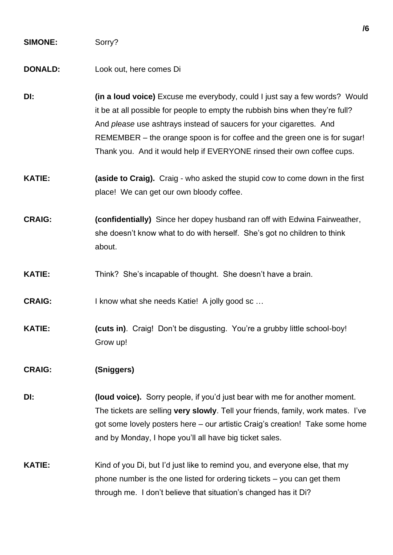#### **SIMONE:** Sorry?

#### **DONALD:** Look out, here comes Di

- **DI: (in a loud voice)** Excuse me everybody, could I just say a few words? Would it be at all possible for people to empty the rubbish bins when they're full? And *please* use ashtrays instead of saucers for your cigarettes. And REMEMBER – the orange spoon is for coffee and the green one is for sugar! Thank you. And it would help if EVERYONE rinsed their own coffee cups.
- **KATIE: (aside to Craig).** Craig who asked the stupid cow to come down in the first place! We can get our own bloody coffee.
- **CRAIG: (confidentially)** Since her dopey husband ran off with Edwina Fairweather, she doesn't know what to do with herself. She's got no children to think about.
- **KATIE:** Think? She's incapable of thought. She doesn't have a brain.
- **CRAIG:** I know what she needs Katie! A jolly good sc …
- **KATIE: (cuts in)**. Craig! Don't be disgusting. You're a grubby little school-boy! Grow up!

### **CRAIG: (Sniggers)**

- **DI: (loud voice).** Sorry people, if you'd just bear with me for another moment. The tickets are selling **very slowly**. Tell your friends, family, work mates. I've got some lovely posters here – our artistic Craig's creation! Take some home and by Monday, I hope you'll all have big ticket sales.
- **KATIE:** Kind of you Di, but I'd just like to remind you, and everyone else, that my phone number is the one listed for ordering tickets – you can get them through me. I don't believe that situation's changed has it Di?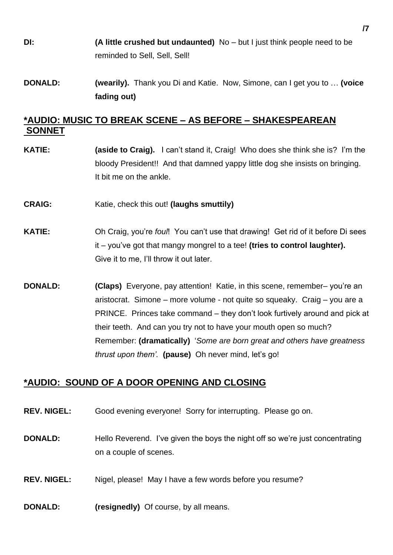- **DI: (A little crushed but undaunted)** No but I just think people need to be reminded to Sell, Sell, Sell!
- **DONALD: (wearily).** Thank you Di and Katie. Now, Simone, can I get you to … **(voice fading out)**

### **\*AUDIO: MUSIC TO BREAK SCENE – AS BEFORE – SHAKESPEAREAN SONNET**

- **KATIE: (aside to Craig).** I can't stand it, Craig! Who does she think she is? I'm the bloody President!! And that damned yappy little dog she insists on bringing. It bit me on the ankle.
- **CRAIG:** Katie, check this out! **(laughs smuttily)**
- **KATIE:** Oh Craig, you're *foul*! You can't use that drawing! Get rid of it before Di sees it – you've got that mangy mongrel to a tee! **(tries to control laughter).**  Give it to me, I'll throw it out later.
- **DONALD: (Claps)** Everyone, pay attention! Katie, in this scene, remember– you're an aristocrat. Simone – more volume - not quite so squeaky. Craig – you are a PRINCE. Princes take command – they don't look furtively around and pick at their teeth. And can you try not to have your mouth open so much? Remember: **(dramatically)** '*Some are born great and others have greatness thrust upon them'.* **(pause)** Oh never mind, let's go!

### **\*AUDIO: SOUND OF A DOOR OPENING AND CLOSING**

- **REV. NIGEL:** Good evening everyone! Sorry for interrupting. Please go on.
- **DONALD:** Hello Reverend. I've given the boys the night off so we're just concentrating on a couple of scenes.
- **REV. NIGEL:** Nigel, please! May I have a few words before you resume?
- **DONALD:** (resignedly) Of course, by all means.